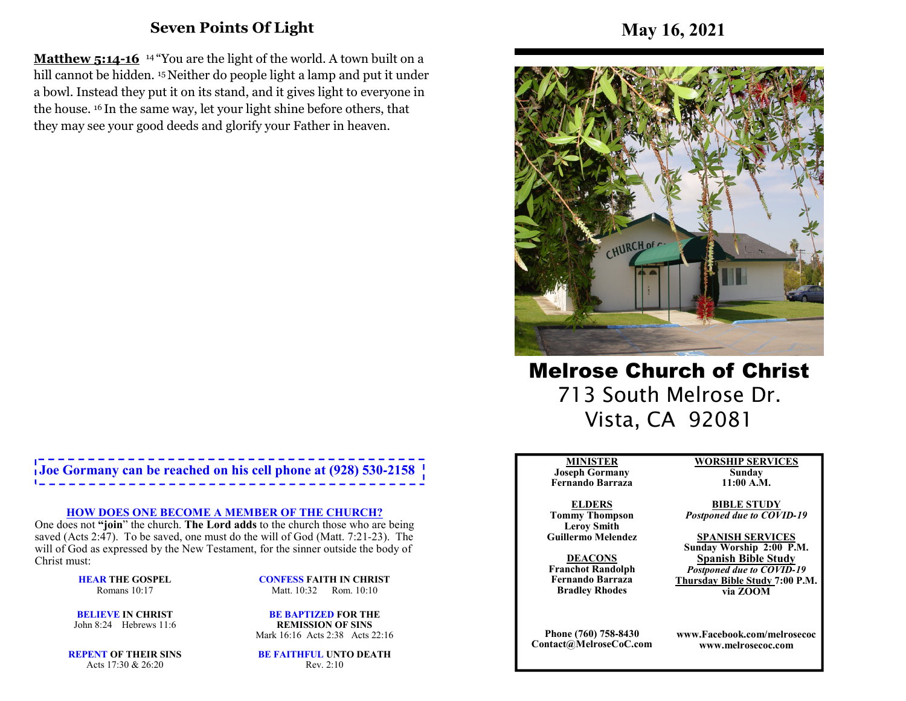## **Seven Points Of Light**

**Matthew 5:14-16** <sup>14</sup> "You are the light of the world. A town built on a hill cannot be hidden. <sup>15</sup> Neither do people light a lamp and put it under a bowl. Instead they put it on its stand, and it gives light to everyone in the house. 16 In the same way, let your light shine before others, that they may see your good deeds and glorify your Father in heaven.

# **Joe Gormany can be reached on his cell phone at (928) 530-2158**

#### **HOW DOES ONE BECOME A MEMBER OF THE CHURCH?**

 One does not **"join**" the church. **The Lord adds** to the church those who are being saved (Acts 2:47). To be saved, one must do the will of God (Matt. 7:21-23). The will of God as expressed by the New Testament, for the sinner outside the body of Christ must:

> **HEAR THE GOSPEL**Romans 10:17

**CONFESS FAITH IN CHRIST**Matt. 10:32 Rom. 10:10

**BELIEVE IN CHRIST**John 8:24 Hebrews 11:6

**BE BAPTIZED FOR THE REMISSION OF SINS**Mark 16:16 Acts 2:38 Acts 22:16

**REPENT OF THEIR SINS**Acts 17:30 & 26:20

**BE FAITHFUL UNTO DEATH**Rev. 2:10



Melrose Church of Christ 713 South Melrose Dr. Vista, CA 92081

#### **MINISTER**

 **Joseph Gormany Fernando Barraza**

**ELDERS Tommy Thompson Leroy SmithGuillermo Melendez** 

**DEACONS Franchot Randolph Fernando BarrazaBradley Rhodes**

**Phone (760) 758-8430Contact@MelroseCoC.com** **WORSHIP SERVICESSunday** 

**11:00 A.M.** 

**BIBLE STUDY***Postponed due to COVID-19*

**SPANISH SERVICES Sunday Worship 2:00 P.M.Spanish Bible Study** *Postponed due to COVID-19*  **Thursday Bible Study 7:00 P.M.via ZOOM**

**www.Facebook.com/melrosecocwww.melrosecoc.com**